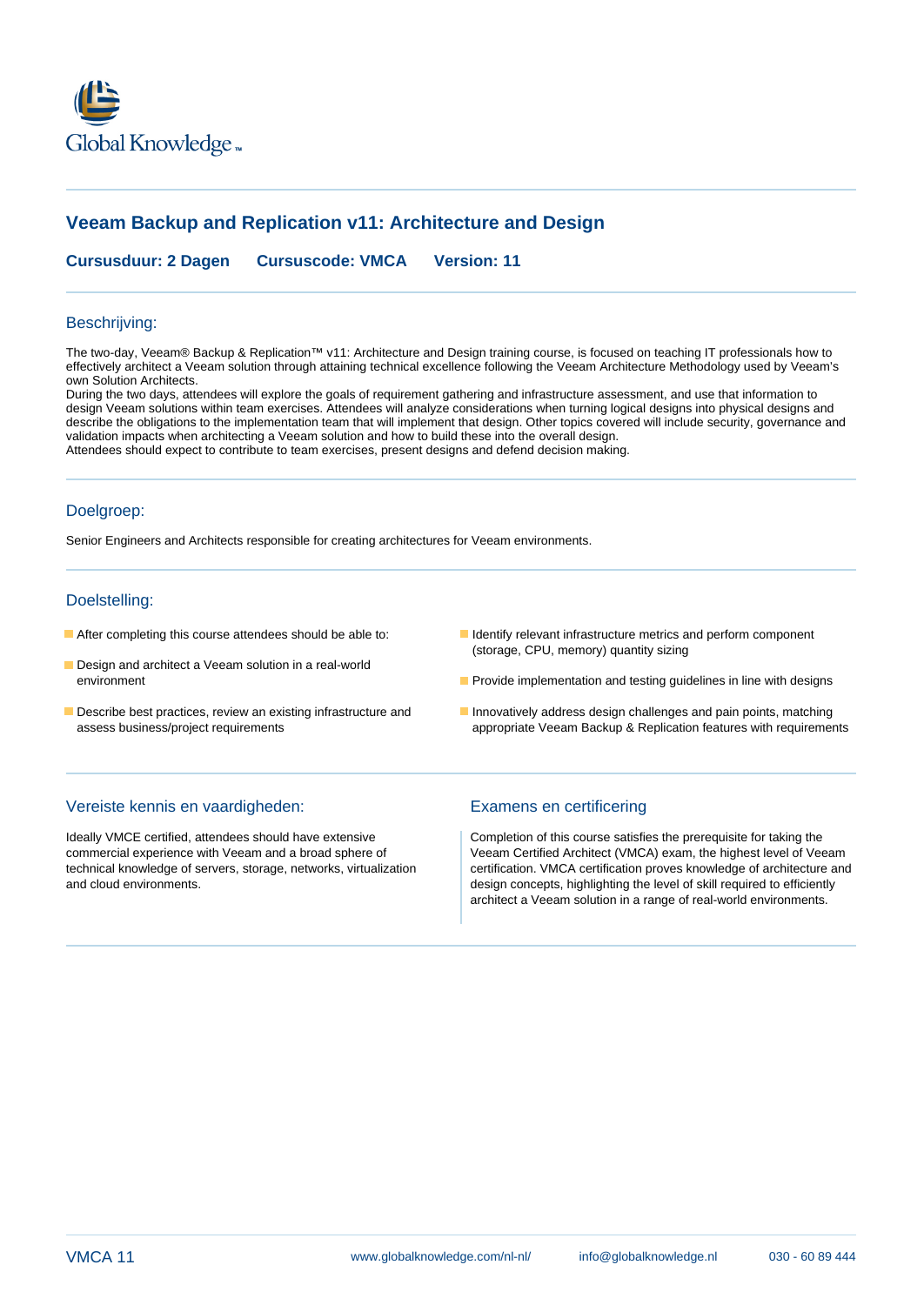

# **Veeam Backup and Replication v11: Architecture and Design**

**Cursusduur: 2 Dagen Cursuscode: VMCA Version: 11**

### Beschrijving:

The two-day, Veeam® Backup & Replication™ v11: Architecture and Design training course, is focused on teaching IT professionals how to effectively architect a Veeam solution through attaining technical excellence following the Veeam Architecture Methodology used by Veeam's own Solution Architects.

During the two days, attendees will explore the goals of requirement gathering and infrastructure assessment, and use that information to design Veeam solutions within team exercises. Attendees will analyze considerations when turning logical designs into physical designs and describe the obligations to the implementation team that will implement that design. Other topics covered will include security, governance and validation impacts when architecting a Veeam solution and how to build these into the overall design. Attendees should expect to contribute to team exercises, present designs and defend decision making.

### Doelgroep:

Senior Engineers and Architects responsible for creating architectures for Veeam environments.

### Doelstelling:

- 
- Design and architect a Veeam solution in a real-world
- 
- **After completing this course attendees should be able to: I** Identify relevant infrastructure metrics and perform component (storage, CPU, memory) quantity sizing
	- environment **Provide implementation and testing guidelines in line with designs**
- Describe best practices, review an existing infrastructure and Innovatively address design challenges and pain points, matching assess business/project requirements appropriate Veeam Backup & Replication features with requirements

### Vereiste kennis en vaardigheden: Examens en certificering

Ideally VMCE certified, attendees should have extensive Completion of this course satisfies the prerequisite for taking the

commercial experience with Veeam and a broad sphere of Veeam Certified Architect (VMCA) exam, the highest level of Veeam technical knowledge of servers, storage, networks, virtualization certification. VMCA certification proves knowledge of architecture and and cloud environments. design concepts, highlighting the level of skill required to efficiently architect a Veeam solution in a range of real-world environments.